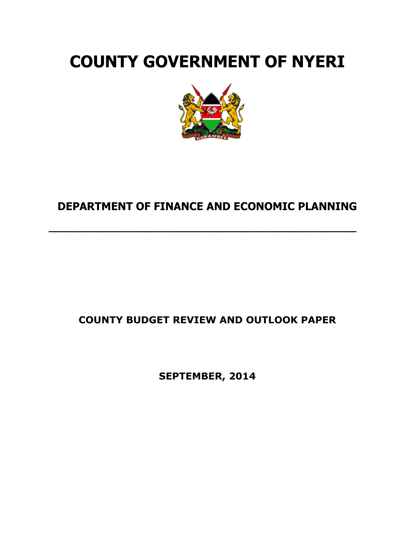# **COUNTY GOVERNMENT OF NYERI**



# **DEPARTMENT OF FINANCE AND ECONOMIC PLANNING**

**\_\_\_\_\_\_\_\_\_\_\_\_\_\_\_\_\_\_\_\_\_\_\_\_\_\_\_\_\_\_\_\_\_\_\_\_\_\_\_\_\_\_\_\_\_\_\_\_\_\_\_**

# **COUNTY BUDGET REVIEW AND OUTLOOK PAPER**

**SEPTEMBER, 2014**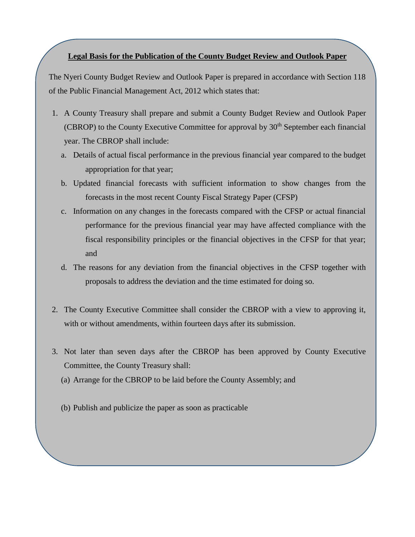# **Legal Basis for the Publication of the County Budget Review and Outlook Paper**

The Nyeri County Budget Review and Outlook Paper is prepared in accordance with Section 118 of the Public Financial Management Act, 2012 which states that:

- 1. A County Treasury shall prepare and submit a County Budget Review and Outlook Paper (CBROP) to the County Executive Committee for approval by  $30<sup>th</sup>$  September each financial year. The CBROP shall include:
	- a. Details of actual fiscal performance in the previous financial year compared to the budget appropriation for that year;
	- b. Updated financial forecasts with sufficient information to show changes from the forecasts in the most recent County Fiscal Strategy Paper (CFSP)
	- c. Information on any changes in the forecasts compared with the CFSP or actual financial performance for the previous financial year may have affected compliance with the fiscal responsibility principles or the financial objectives in the CFSP for that year; and
	- d. The reasons for any deviation from the financial objectives in the CFSP together with proposals to address the deviation and the time estimated for doing so.
- 2. The County Executive Committee shall consider the CBROP with a view to approving it, with or without amendments, within fourteen days after its submission.
- 3. Not later than seven days after the CBROP has been approved by County Executive Committee, the County Treasury shall:
	- (a) Arrange for the CBROP to be laid before the County Assembly; and
	- (b) Publish and publicize the paper as soon as practicable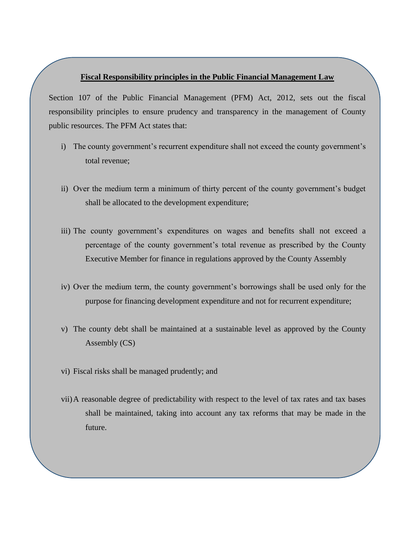#### **Fiscal Responsibility principles in the Public Financial Management Law**

Section 107 of the Public Financial Management (PFM) Act, 2012, sets out the fiscal responsibility principles to ensure prudency and transparency in the management of County public resources. The PFM Act states that:

- i) The county government's recurrent expenditure shall not exceed the county government's total revenue;
- ii) Over the medium term a minimum of thirty percent of the county government's budget shall be allocated to the development expenditure;
- iii) The county government's expenditures on wages and benefits shall not exceed a percentage of the county government's total revenue as prescribed by the County Executive Member for finance in regulations approved by the County Assembly
- iv) Over the medium term, the county government's borrowings shall be used only for the purpose for financing development expenditure and not for recurrent expenditure;
- v) The county debt shall be maintained at a sustainable level as approved by the County Assembly (CS)
- vi) Fiscal risks shall be managed prudently; and
- vii)A reasonable degree of predictability with respect to the level of tax rates and tax bases shall be maintained, taking into account any tax reforms that may be made in the future.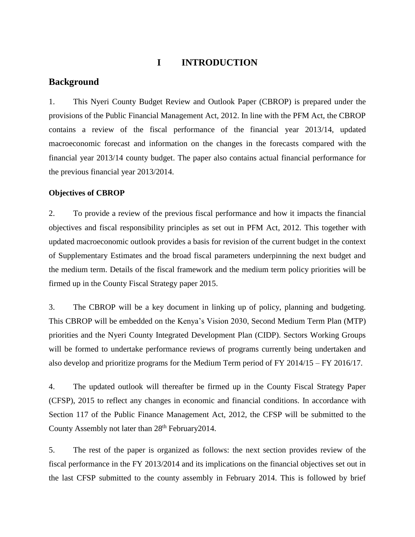# **I INTRODUCTION**

# **Background**

1. This Nyeri County Budget Review and Outlook Paper (CBROP) is prepared under the provisions of the Public Financial Management Act, 2012. In line with the PFM Act, the CBROP contains a review of the fiscal performance of the financial year 2013/14, updated macroeconomic forecast and information on the changes in the forecasts compared with the financial year 2013/14 county budget. The paper also contains actual financial performance for the previous financial year 2013/2014.

# **Objectives of CBROP**

2. To provide a review of the previous fiscal performance and how it impacts the financial objectives and fiscal responsibility principles as set out in PFM Act, 2012. This together with updated macroeconomic outlook provides a basis for revision of the current budget in the context of Supplementary Estimates and the broad fiscal parameters underpinning the next budget and the medium term. Details of the fiscal framework and the medium term policy priorities will be firmed up in the County Fiscal Strategy paper 2015.

3. The CBROP will be a key document in linking up of policy, planning and budgeting. This CBROP will be embedded on the Kenya's Vision 2030, Second Medium Term Plan (MTP) priorities and the Nyeri County Integrated Development Plan (CIDP). Sectors Working Groups will be formed to undertake performance reviews of programs currently being undertaken and also develop and prioritize programs for the Medium Term period of FY 2014/15 – FY 2016/17.

4. The updated outlook will thereafter be firmed up in the County Fiscal Strategy Paper (CFSP), 2015 to reflect any changes in economic and financial conditions. In accordance with Section 117 of the Public Finance Management Act, 2012, the CFSP will be submitted to the County Assembly not later than 28<sup>th</sup> February 2014.

5. The rest of the paper is organized as follows: the next section provides review of the fiscal performance in the FY 2013/2014 and its implications on the financial objectives set out in the last CFSP submitted to the county assembly in February 2014. This is followed by brief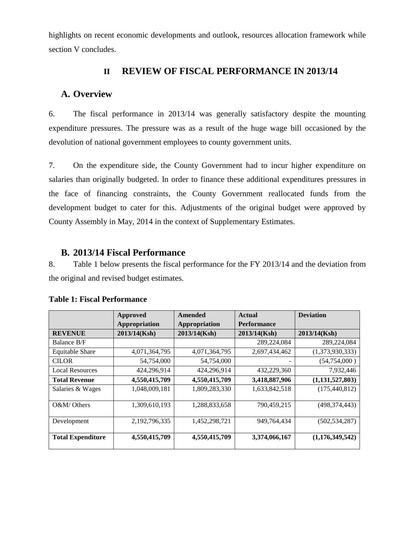highlights on recent economic developments and outlook, resources allocation framework while section V concludes.

# **II REVIEW OF FISCAL PERFORMANCE IN 2013/14**

# **A. Overview**

6. The fiscal performance in 2013/14 was generally satisfactory despite the mounting expenditure pressures. The pressure was as a result of the huge wage bill occasioned by the devolution of national government employees to county government units.

7. On the expenditure side, the County Government had to incur higher expenditure on salaries than originally budgeted. In order to finance these additional expenditures pressures in the face of financing constraints, the County Government reallocated funds from the development budget to cater for this. Adjustments of the original budget were approved by County Assembly in May, 2014 in the context of Supplementary Estimates.

# **B. 2013/14 Fiscal Performance**

8. Table 1 below presents the fiscal performance for the FY 2013/14 and the deviation from the original and revised budget estimates.

|                          | <b>Approved</b> | Amended       | <b>Actual</b>      | <b>Deviation</b>   |
|--------------------------|-----------------|---------------|--------------------|--------------------|
|                          | Appropriation   | Appropriation | <b>Performance</b> |                    |
| <b>REVENUE</b>           | 2013/14(Ksh)    | 2013/14(Ksh)  | 2013/14(Ksh)       | 2013/14(Ksh)       |
| Balance B/F              |                 |               | 289,224,084        | 289, 224, 084      |
| <b>Equitable Share</b>   | 4,071,364,795   | 4,071,364,795 | 2,697,434,462      | (1,373,930,333)    |
| <b>CILOR</b>             | 54,754,000      | 54,754,000    |                    | (54,754,000)       |
| <b>Local Resources</b>   | 424,296,914     | 424,296,914   | 432,229,360        | 7,932,446          |
| <b>Total Revenue</b>     | 4,550,415,709   | 4,550,415,709 | 3,418,887,906      | (1, 131, 527, 803) |
| Salaries & Wages         | 1,048,009,181   | 1,809,283,330 | 1,633,842,518      | (175, 440, 812)    |
| $O\&M/O$ thers           | 1,309,610,193   | 1,288,833,658 | 790,459,215        | (498, 374, 443)    |
| Development              | 2,192,796,335   | 1,452,298,721 | 949,764,434        | (502, 534, 287)    |
| <b>Total Expenditure</b> | 4,550,415,709   | 4,550,415,709 | 3,374,066,167      | (1,176,349,542)    |

**Table 1: Fiscal Performance**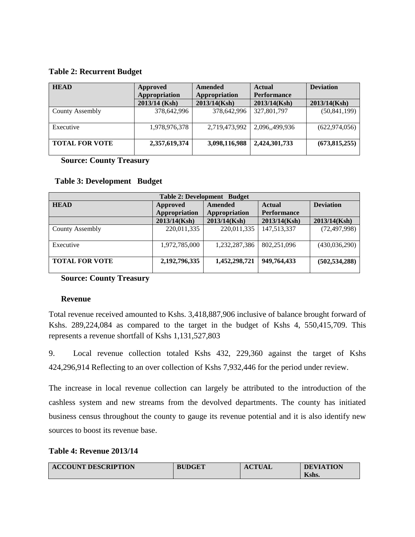# **Table 2: Recurrent Budget**

| <b>HEAD</b>           | Approved      | Amended       | <b>Actual</b>      | <b>Deviation</b> |
|-----------------------|---------------|---------------|--------------------|------------------|
|                       | Appropriation | Appropriation | <b>Performance</b> |                  |
|                       | 2013/14 (Ksh) | 2013/14(Ksh)  | 2013/14(Ksh)       | 2013/14(Ksh)     |
| County Assembly       | 378,642,996   | 378,642,996   | 327,801,797        | (50, 841, 199)   |
| Executive             | 1,978,976,378 | 2,719,473,992 | 2,096,,499,936     | (622, 974, 056)  |
| <b>TOTAL FOR VOTE</b> | 2,357,619,374 | 3,098,116,988 | 2,424,301,733      | (673, 815, 255)  |

 **Source: County Treasury**

| <b>Table 2: Development Budget</b> |               |                |                    |                  |  |  |
|------------------------------------|---------------|----------------|--------------------|------------------|--|--|
| <b>HEAD</b>                        | Approved      | <b>Amended</b> | Actual             | <b>Deviation</b> |  |  |
|                                    | Appropriation | Appropriation  | <b>Performance</b> |                  |  |  |
|                                    | 2013/14(Ksh)  | 2013/14(Ksh)   | 2013/14(Ksh)       | 2013/14(Ksh)     |  |  |
| <b>County Assembly</b>             | 220,011,335   | 220,011,335    | 147,513,337        | (72, 497, 998)   |  |  |
| Executive                          | 1,972,785,000 | 1,232,287,386  | 802,251,096        | (430, 036, 290)  |  |  |
| <b>TOTAL FOR VOTE</b>              | 2,192,796,335 | 1,452,298,721  | 949,764,433        | (502, 534, 288)  |  |  |

## **Table 3: Development Budget**

# **Source: County Treasury**

## **Revenue**

Total revenue received amounted to Kshs. 3,418,887,906 inclusive of balance brought forward of Kshs. 289,224,084 as compared to the target in the budget of Kshs 4, 550,415,709. This represents a revenue shortfall of Kshs 1,131,527,803

9. Local revenue collection totaled Kshs 432, 229,360 against the target of Kshs 424,296,914 Reflecting to an over collection of Kshs 7,932,446 for the period under review.

The increase in local revenue collection can largely be attributed to the introduction of the cashless system and new streams from the devolved departments. The county has initiated business census throughout the county to gauge its revenue potential and it is also identify new sources to boost its revenue base.

## **Table 4: Revenue 2013/14**

| <b>ACCOUNT DESCRIPTION</b> | <b>BUDGET</b> | <b>ACTUAL</b> | <b>DEVIATION</b> |
|----------------------------|---------------|---------------|------------------|
|                            |               |               | Kshs.            |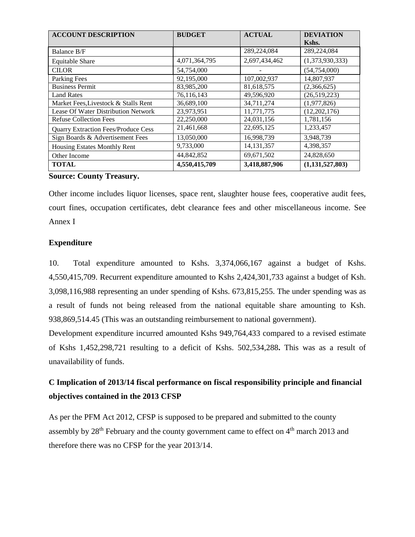| <b>ACCOUNT DESCRIPTION</b>                 | <b>BUDGET</b> | <b>ACTUAL</b> | <b>DEVIATION</b> |
|--------------------------------------------|---------------|---------------|------------------|
|                                            |               |               | Kshs.            |
| Balance B/F                                |               | 289,224,084   | 289,224,084      |
| <b>Equitable Share</b>                     | 4,071,364,795 | 2,697,434,462 | (1,373,930,333)  |
| <b>CILOR</b>                               | 54,754,000    |               | (54, 754, 000)   |
| Parking Fees                               | 92,195,000    | 107,002,937   | 14,807,937       |
| <b>Business Permit</b>                     | 83,985,200    | 81,618,575    | (2,366,625)      |
| <b>Land Rates</b>                          | 76,116,143    | 49,596,920    | (26,519,223)     |
| Market Fees, Livestock & Stalls Rent       | 36,689,100    | 34,711,274    | (1,977,826)      |
| Lease Of Water Distribution Network        | 23,973,951    | 11,771,775    | (12,202,176)     |
| <b>Refuse Collection Fees</b>              | 22,250,000    | 24,031,156    | 1,781,156        |
| <b>Quarry Extraction Fees/Produce Cess</b> | 21,461,668    | 22,695,125    | 1,233,457        |
| Sign Boards & Advertisement Fees           | 13,050,000    | 16,998,739    | 3,948,739        |
| Housing Estates Monthly Rent               | 9,733,000     | 14, 131, 357  | 4,398,357        |
| Other Income                               | 44,842,852    | 69,671,502    | 24,828,650       |
| <b>TOTAL</b>                               | 4,550,415,709 | 3,418,887,906 | (1,131,527,803)  |

# **Source: County Treasury.**

Other income includes liquor licenses, space rent, slaughter house fees, cooperative audit fees, court fines, occupation certificates, debt clearance fees and other miscellaneous income. See Annex I

# **Expenditure**

10. Total expenditure amounted to Kshs. 3,374,066,167 against a budget of Kshs. 4,550,415,709. Recurrent expenditure amounted to Kshs 2,424,301,733 against a budget of Ksh. 3,098,116,988 representing an under spending of Kshs. 673,815,255. The under spending was as a result of funds not being released from the national equitable share amounting to Ksh. 938,869,514.45 (This was an outstanding reimbursement to national government).

Development expenditure incurred amounted Kshs 949,764,433 compared to a revised estimate of Kshs 1,452,298,721 resulting to a deficit of Kshs. 502,534,288**.** This was as a result of unavailability of funds.

# **C Implication of 2013/14 fiscal performance on fiscal responsibility principle and financial objectives contained in the 2013 CFSP**

As per the PFM Act 2012, CFSP is supposed to be prepared and submitted to the county assembly by  $28<sup>th</sup>$  February and the county government came to effect on  $4<sup>th</sup>$  march 2013 and therefore there was no CFSP for the year 2013/14.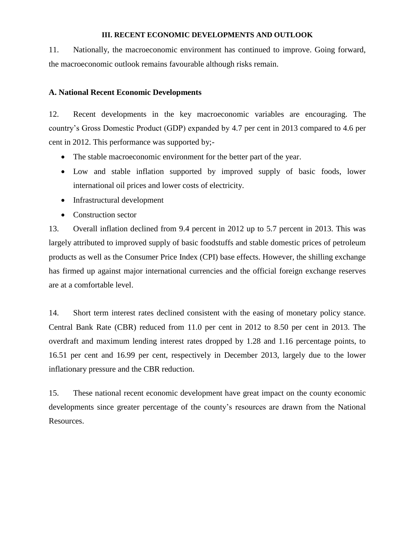#### **III. RECENT ECONOMIC DEVELOPMENTS AND OUTLOOK**

11. Nationally, the macroeconomic environment has continued to improve. Going forward, the macroeconomic outlook remains favourable although risks remain.

#### **A. National Recent Economic Developments**

12. Recent developments in the key macroeconomic variables are encouraging. The country's Gross Domestic Product (GDP) expanded by 4.7 per cent in 2013 compared to 4.6 per cent in 2012. This performance was supported by;-

- The stable macroeconomic environment for the better part of the year.
- Low and stable inflation supported by improved supply of basic foods, lower international oil prices and lower costs of electricity.
- Infrastructural development
- Construction sector

13. Overall inflation declined from 9.4 percent in 2012 up to 5.7 percent in 2013. This was largely attributed to improved supply of basic foodstuffs and stable domestic prices of petroleum products as well as the Consumer Price Index (CPI) base effects. However, the shilling exchange has firmed up against major international currencies and the official foreign exchange reserves are at a comfortable level.

14. Short term interest rates declined consistent with the easing of monetary policy stance. Central Bank Rate (CBR) reduced from 11.0 per cent in 2012 to 8.50 per cent in 2013. The overdraft and maximum lending interest rates dropped by 1.28 and 1.16 percentage points, to 16.51 per cent and 16.99 per cent, respectively in December 2013, largely due to the lower inflationary pressure and the CBR reduction.

15. These national recent economic development have great impact on the county economic developments since greater percentage of the county's resources are drawn from the National Resources.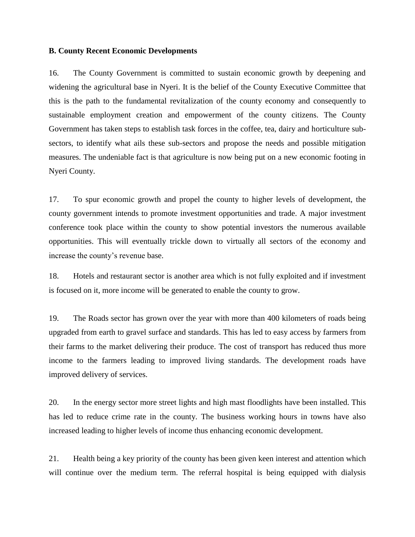#### **B. County Recent Economic Developments**

16. The County Government is committed to sustain economic growth by deepening and widening the agricultural base in Nyeri. It is the belief of the County Executive Committee that this is the path to the fundamental revitalization of the county economy and consequently to sustainable employment creation and empowerment of the county citizens. The County Government has taken steps to establish task forces in the coffee, tea, dairy and horticulture subsectors, to identify what ails these sub-sectors and propose the needs and possible mitigation measures. The undeniable fact is that agriculture is now being put on a new economic footing in Nyeri County.

17. To spur economic growth and propel the county to higher levels of development, the county government intends to promote investment opportunities and trade. A major investment conference took place within the county to show potential investors the numerous available opportunities. This will eventually trickle down to virtually all sectors of the economy and increase the county's revenue base.

18. Hotels and restaurant sector is another area which is not fully exploited and if investment is focused on it, more income will be generated to enable the county to grow.

19. The Roads sector has grown over the year with more than 400 kilometers of roads being upgraded from earth to gravel surface and standards. This has led to easy access by farmers from their farms to the market delivering their produce. The cost of transport has reduced thus more income to the farmers leading to improved living standards. The development roads have improved delivery of services.

20. In the energy sector more street lights and high mast floodlights have been installed. This has led to reduce crime rate in the county. The business working hours in towns have also increased leading to higher levels of income thus enhancing economic development.

21. Health being a key priority of the county has been given keen interest and attention which will continue over the medium term. The referral hospital is being equipped with dialysis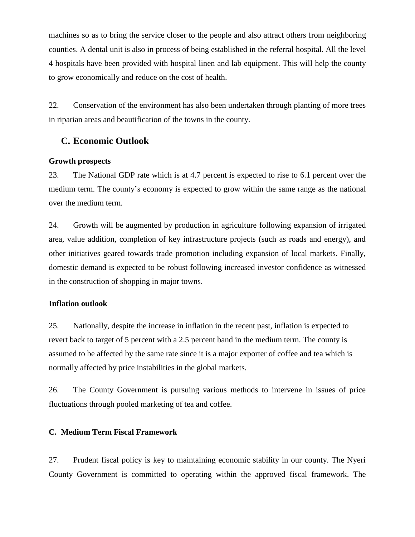machines so as to bring the service closer to the people and also attract others from neighboring counties. A dental unit is also in process of being established in the referral hospital. All the level 4 hospitals have been provided with hospital linen and lab equipment. This will help the county to grow economically and reduce on the cost of health.

22. Conservation of the environment has also been undertaken through planting of more trees in riparian areas and beautification of the towns in the county.

# **C. Economic Outlook**

## **Growth prospects**

23. The National GDP rate which is at 4.7 percent is expected to rise to 6.1 percent over the medium term. The county's economy is expected to grow within the same range as the national over the medium term.

24. Growth will be augmented by production in agriculture following expansion of irrigated area, value addition, completion of key infrastructure projects (such as roads and energy), and other initiatives geared towards trade promotion including expansion of local markets. Finally, domestic demand is expected to be robust following increased investor confidence as witnessed in the construction of shopping in major towns.

## **Inflation outlook**

25. Nationally, despite the increase in inflation in the recent past, inflation is expected to revert back to target of 5 percent with a 2.5 percent band in the medium term. The county is assumed to be affected by the same rate since it is a major exporter of coffee and tea which is normally affected by price instabilities in the global markets.

26. The County Government is pursuing various methods to intervene in issues of price fluctuations through pooled marketing of tea and coffee.

## **C. Medium Term Fiscal Framework**

27. Prudent fiscal policy is key to maintaining economic stability in our county. The Nyeri County Government is committed to operating within the approved fiscal framework. The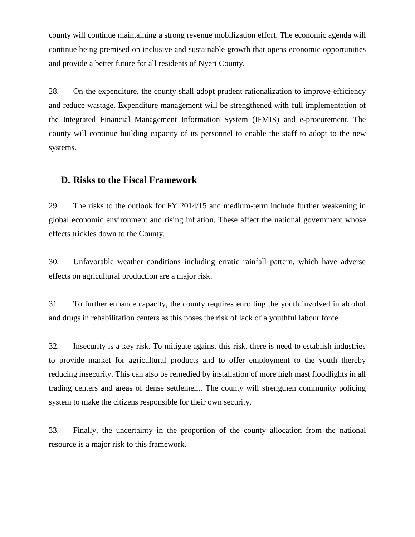county will continue maintaining a strong revenue mobilization effort. The economic agenda will continue being premised on inclusive and sustainable growth that opens economic opportunities and provide a better future for all residents of Nyeri County.

28. On the expenditure, the county shall adopt prudent rationalization to improve efficiency and reduce wastage. Expenditure management will be strengthened with full implementation of the Integrated Financial Management Information System (IFMIS) and e-procurement. The county will continue building capacity of its personnel to enable the staff to adopt to the new systems.

# **D. Risks to the Fiscal Framework**

29. The risks to the outlook for FY 2014/15 and medium-term include further weakening in global economic environment and rising inflation. These affect the national government whose effects trickles down to the County.

30. Unfavorable weather conditions including erratic rainfall pattern, which have adverse effects on agricultural production are a major risk.

31. To further enhance capacity, the county requires enrolling the youth involved in alcohol and drugs in rehabilitation centers as this poses the risk of lack of a youthful labour force

32. Insecurity is a key risk. To mitigate against this risk, there is need to establish industries to provide market for agricultural products and to offer employment to the youth thereby reducing insecurity. This can also be remedied by installation of more high mast floodlights in all trading centers and areas of dense settlement. The county will strengthen community policing system to make the citizens responsible for their own security.

33. Finally, the uncertainty in the proportion of the county allocation from the national resource is a major risk to this framework.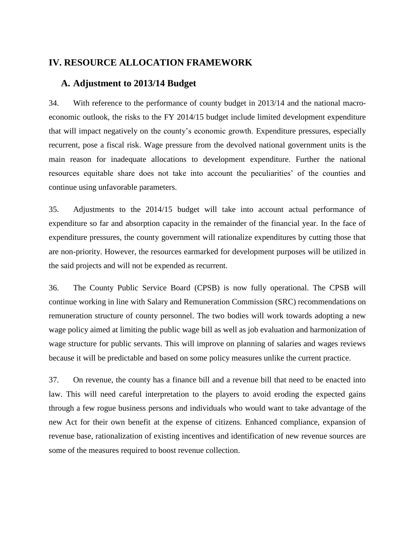# **IV. RESOURCE ALLOCATION FRAMEWORK**

# **A. Adjustment to 2013/14 Budget**

34. With reference to the performance of county budget in 2013/14 and the national macroeconomic outlook, the risks to the FY 2014/15 budget include limited development expenditure that will impact negatively on the county's economic growth. Expenditure pressures, especially recurrent, pose a fiscal risk. Wage pressure from the devolved national government units is the main reason for inadequate allocations to development expenditure. Further the national resources equitable share does not take into account the peculiarities' of the counties and continue using unfavorable parameters.

35. Adjustments to the 2014/15 budget will take into account actual performance of expenditure so far and absorption capacity in the remainder of the financial year. In the face of expenditure pressures, the county government will rationalize expenditures by cutting those that are non-priority. However, the resources earmarked for development purposes will be utilized in the said projects and will not be expended as recurrent.

36. The County Public Service Board (CPSB) is now fully operational. The CPSB will continue working in line with Salary and Remuneration Commission (SRC) recommendations on remuneration structure of county personnel. The two bodies will work towards adopting a new wage policy aimed at limiting the public wage bill as well as job evaluation and harmonization of wage structure for public servants. This will improve on planning of salaries and wages reviews because it will be predictable and based on some policy measures unlike the current practice.

37. On revenue, the county has a finance bill and a revenue bill that need to be enacted into law. This will need careful interpretation to the players to avoid eroding the expected gains through a few rogue business persons and individuals who would want to take advantage of the new Act for their own benefit at the expense of citizens. Enhanced compliance, expansion of revenue base, rationalization of existing incentives and identification of new revenue sources are some of the measures required to boost revenue collection.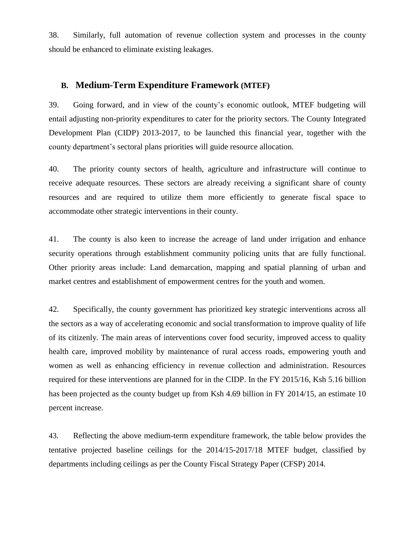38. Similarly, full automation of revenue collection system and processes in the county should be enhanced to eliminate existing leakages.

## **B. Medium-Term Expenditure Framework (MTEF)**

39. Going forward, and in view of the county's economic outlook, MTEF budgeting will entail adjusting non-priority expenditures to cater for the priority sectors. The County Integrated Development Plan (CIDP) 2013-2017, to be launched this financial year, together with the county department's sectoral plans priorities will guide resource allocation.

40. The priority county sectors of health, agriculture and infrastructure will continue to receive adequate resources. These sectors are already receiving a significant share of county resources and are required to utilize them more efficiently to generate fiscal space to accommodate other strategic interventions in their county.

41. The county is also keen to increase the acreage of land under irrigation and enhance security operations through establishment community policing units that are fully functional. Other priority areas include: Land demarcation, mapping and spatial planning of urban and market centres and establishment of empowerment centres for the youth and women.

42. Specifically, the county government has prioritized key strategic interventions across all the sectors as a way of accelerating economic and social transformation to improve quality of life of its citizenly. The main areas of interventions cover food security, improved access to quality health care, improved mobility by maintenance of rural access roads, empowering youth and women as well as enhancing efficiency in revenue collection and administration. Resources required for these interventions are planned for in the CIDP. In the FY 2015/16, Ksh 5.16 billion has been projected as the county budget up from Ksh 4.69 billion in FY 2014/15, an estimate 10 percent increase.

43. Reflecting the above medium-term expenditure framework, the table below provides the tentative projected baseline ceilings for the 2014/15-2017/18 MTEF budget, classified by departments including ceilings as per the County Fiscal Strategy Paper (CFSP) 2014.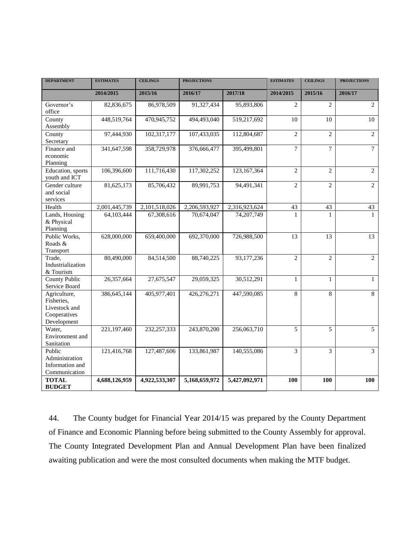| <b>DEPARTMENT</b>                                                          | <b>ESTIMATES</b> | <b>CEILINGS</b> | <b>PROJECTIONS</b> |               | <b>ESTIMATES</b> | <b>CEILINGS</b> | <b>PROJECTIONS</b> |
|----------------------------------------------------------------------------|------------------|-----------------|--------------------|---------------|------------------|-----------------|--------------------|
|                                                                            | 2014/2015        | 2015/16         | 2016/17            | 2017/18       | 2014/2015        | 2015/16         | 2016/17            |
| Governor's<br>office                                                       | 82,836,675       | 86,978,509      | 91,327,434         | 95,893,806    | $\overline{2}$   | $\overline{2}$  | $\overline{2}$     |
| County<br>Assembly                                                         | 448,519,764      | 470,945,752     | 494,493,040        | 519,217,692   | 10               | 10              | 10                 |
| County<br>Secretary                                                        | 97,444,930       | 102,317,177     | 107,433,035        | 112,804,687   | $\overline{2}$   | $\overline{c}$  | $\overline{2}$     |
| Finance and<br>economic<br>Planning                                        | 341,647,598      | 358,729,978     | 376,666,477        | 395,499,801   | $\overline{7}$   | $\overline{7}$  | $\tau$             |
| Education, sports<br>youth and ICT                                         | 106,396,600      | 111,716,430     | 117,302,252        | 123, 167, 364 | $\mathfrak{2}$   | $\overline{c}$  | $\overline{c}$     |
| Gender culture<br>and social<br>services                                   | 81,625,173       | 85,706,432      | 89,991,753         | 94,491,341    | $\overline{2}$   | $\overline{c}$  | 2                  |
| Health                                                                     | 2,001,445,739    | 2,101,518,026   | 2,206,593,927      | 2,316,923,624 | 43               | 43              | 43                 |
| Lands, Housing<br>& Physical<br>Planning                                   | 64,103,444       | 67,308,616      | 70,674,047         | 74,207,749    | 1                |                 |                    |
| Public Works,<br>Roads &<br>Transport                                      | 628,000,000      | 659,400,000     | 692,370,000        | 726,988,500   | 13               | 13              | 13                 |
| Trade,<br>Industrialization<br>& Tourism                                   | 80,490,000       | 84,514,500      | 88,740,225         | 93,177,236    | $\overline{2}$   | $\overline{2}$  | $\overline{2}$     |
| <b>County Public</b><br>Service Board                                      | 26,357,664       | 27,675,547      | 29,059,325         | 30,512,291    | 1                | 1               | $\mathbf{1}$       |
| Agriculture,<br>Fisheries.<br>Livestock and<br>Cooperatives<br>Development | 386,645,144      | 405,977,401     | 426,276,271        | 447,590,085   | $\overline{8}$   | 8               | $\overline{8}$     |
| Water,<br>Environment and<br>Sanitation                                    | 221,197,460      | 232, 257, 333   | 243,870,200        | 256,063,710   | 5                | 5               | 5                  |
| Public<br>Administration<br>Information and<br>Communication               | 121,416,768      | 127,487,606     | 133,861,987        | 140,555,086   | 3                | 3               | 3                  |
| <b>TOTAL</b><br><b>BUDGET</b>                                              | 4,688,126,959    | 4,922,533,307   | 5,168,659,972      | 5,427,092,971 | 100              | 100             | 100                |

44. The County budget for Financial Year 2014/15 was prepared by the County Department of Finance and Economic Planning before being submitted to the County Assembly for approval. The County Integrated Development Plan and Annual Development Plan have been finalized awaiting publication and were the most consulted documents when making the MTF budget.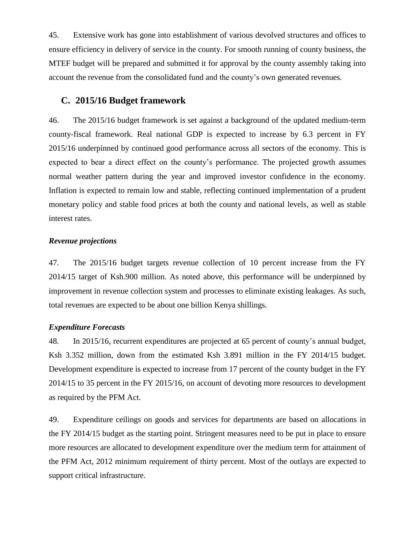45. Extensive work has gone into establishment of various devolved structures and offices to ensure efficiency in delivery of service in the county. For smooth running of county business, the MTEF budget will be prepared and submitted it for approval by the county assembly taking into account the revenue from the consolidated fund and the county's own generated revenues.

# **C. 2015/16 Budget framework**

46. The 2015/16 budget framework is set against a background of the updated medium-term county-fiscal framework. Real national GDP is expected to increase by 6.3 percent in FY 2015/16 underpinned by continued good performance across all sectors of the economy. This is expected to bear a direct effect on the county's performance. The projected growth assumes normal weather pattern during the year and improved investor confidence in the economy. Inflation is expected to remain low and stable, reflecting continued implementation of a prudent monetary policy and stable food prices at both the county and national levels, as well as stable interest rates.

#### *Revenue projections*

47. The 2015/16 budget targets revenue collection of 10 percent increase from the FY 2014/15 target of Ksh.900 million. As noted above, this performance will be underpinned by improvement in revenue collection system and processes to eliminate existing leakages. As such, total revenues are expected to be about one billion Kenya shillings.

#### *Expenditure Forecasts*

48. In 2015/16, recurrent expenditures are projected at 65 percent of county's annual budget, Ksh 3.352 million, down from the estimated Ksh 3.891 million in the FY 2014/15 budget. Development expenditure is expected to increase from 17 percent of the county budget in the FY 2014/15 to 35 percent in the FY 2015/16, on account of devoting more resources to development as required by the PFM Act.

49. Expenditure ceilings on goods and services for departments are based on allocations in the FY 2014/15 budget as the starting point. Stringent measures need to be put in place to ensure more resources are allocated to development expenditure over the medium term for attainment of the PFM Act, 2012 minimum requirement of thirty percent. Most of the outlays are expected to support critical infrastructure.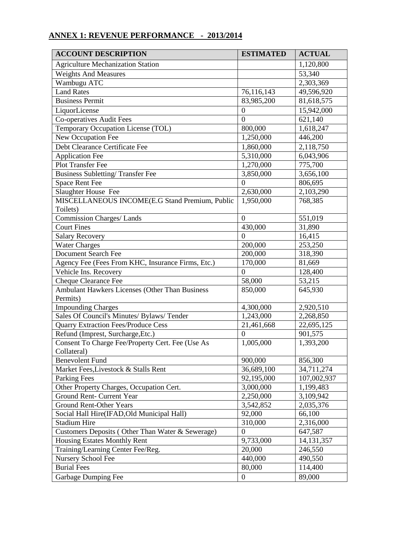# **ANNEX 1: REVENUE PERFORMANCE - 2013/2014**

| <b>ACCOUNT DESCRIPTION</b>                        | <b>ESTIMATED</b> | <b>ACTUAL</b> |
|---------------------------------------------------|------------------|---------------|
| <b>Agriculture Mechanization Station</b>          |                  | 1,120,800     |
| <b>Weights And Measures</b>                       |                  | 53,340        |
| Wambugu ATC                                       |                  | 2,303,369     |
| <b>Land Rates</b>                                 | 76,116,143       | 49,596,920    |
| <b>Business Permit</b>                            | 83,985,200       | 81,618,575    |
| LiquorLicense                                     | $\mathbf{0}$     | 15,942,000    |
| <b>Co-operatives Audit Fees</b>                   | $\overline{0}$   | 621,140       |
| Temporary Occupation License (TOL)                | 800,000          | 1,618,247     |
| New Occupation Fee                                | 1,250,000        | 446,200       |
| Debt Clearance Certificate Fee                    | 1,860,000        | 2,118,750     |
| <b>Application Fee</b>                            | 5,310,000        | 6,043,906     |
| Plot Transfer Fee                                 | 1,270,000        | 775,700       |
| <b>Business Subletting/Transfer Fee</b>           | 3,850,000        | 3,656,100     |
| Space Rent Fee                                    | $\Omega$         | 806,695       |
| Slaughter House Fee                               | 2,630,000        | 2,103,290     |
| MISCELLANEOUS INCOME(E.G Stand Premium, Public    | 1,950,000        | 768,385       |
| Toilets)                                          |                  |               |
| <b>Commission Charges/Lands</b>                   | $\overline{0}$   | 551,019       |
| <b>Court Fines</b>                                | 430,000          | 31,890        |
| <b>Salary Recovery</b>                            | $\overline{0}$   | 16,415        |
| <b>Water Charges</b>                              | 200,000          | 253,250       |
| <b>Document Search Fee</b>                        | 200,000          | 318,390       |
| Agency Fee (Fees From KHC, Insurance Firms, Etc.) | 170,000          | 81,669        |
| Vehicle Ins. Recovery                             | $\Omega$         | 128,400       |
| <b>Cheque Clearance Fee</b>                       | 58,000           | 53,215        |
| Ambulant Hawkers Licenses (Other Than Business    | 850,000          | 645,930       |
| Permits)                                          |                  |               |
| <b>Impounding Charges</b>                         | 4,300,000        | 2,920,510     |
| Sales Of Council's Minutes/ Bylaws/ Tender        | 1,243,000        | 2,268,850     |
| <b>Quarry Extraction Fees/Produce Cess</b>        | 21,461,668       | 22,695,125    |
| Refund (Imprest, Surcharge, Etc.)                 | $\overline{0}$   | 901,575       |
| Consent To Charge Fee/Property Cert. Fee (Use As  | 1,005,000        | 1,393,200     |
| Collateral)                                       |                  |               |
| <b>Benevolent Fund</b>                            | 900,000          | 856,300       |
| Market Fees, Livestock & Stalls Rent              | 36,689,100       | 34,711,274    |
| Parking Fees                                      | 92,195,000       | 107,002,937   |
| Other Property Charges, Occupation Cert.          | 3,000,000        | 1,199,483     |
| Ground Rent- Current Year                         | 2,250,000        | 3,109,942     |
| Ground Rent-Other Years                           | 3,542,852        | 2,035,376     |
| Social Hall Hire(IFAD, Old Municipal Hall)        | 92,000           | 66,100        |
| <b>Stadium Hire</b>                               | 310,000          | 2,316,000     |
| Customers Deposits (Other Than Water & Sewerage)  | $\theta$         | 647,587       |
| <b>Housing Estates Monthly Rent</b>               | 9,733,000        | 14, 131, 357  |
| Training/Learning Center Fee/Reg.                 | 20,000           | 246,550       |
| Nursery School Fee                                | 440,000          | 490,550       |
| <b>Burial Fees</b>                                | 80,000           | 114,400       |
| Garbage Dumping Fee                               | $\overline{0}$   | 89,000        |